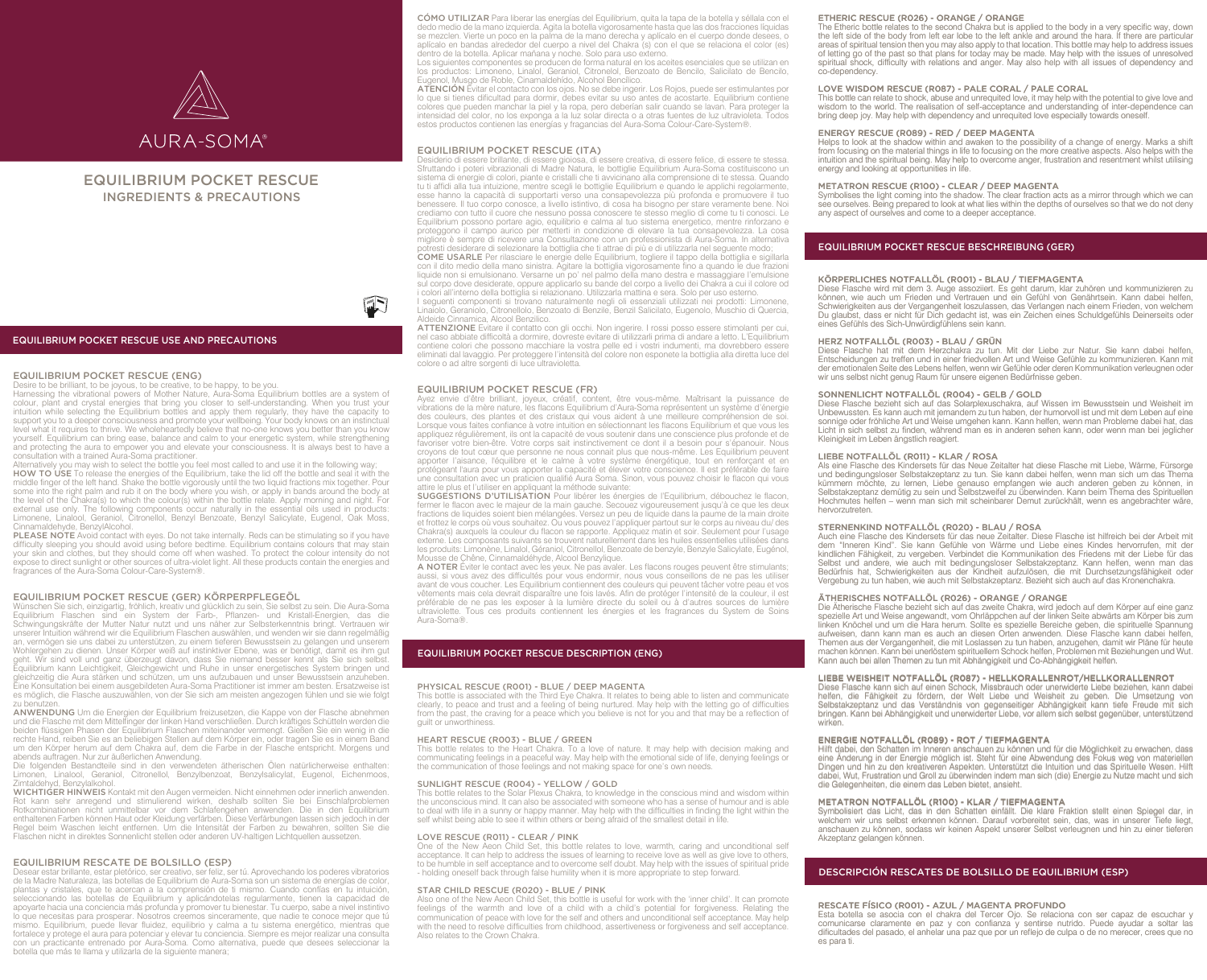

# EQUILIBRIUM POCKET RESCUE INGREDIENTS & PRECAUTIONS

# EQUILIBRIUM POCKET RESCUE USE AND PRECAUTIONS

# EQUILIBRIUM POCKET RESCUE (ENG)

Desire to be brilliant, to be joyous, to be creative, to be happy, to be you.<br>Harnessing the vibrational powers of Mother Nature, Aura-Soma Equilibrium bottles are a system of<br>colour, plant and crystal energies that bring intuition while selecting the Equilibrium bottles and apply them regularly, they have the capacity to support you to a deeper consciousness and promote your wellbeing. Your body knows on an instinctual level what it requires to thrive. We wholeheartedly believe that no-one knows you better than you know yourself. Equilibrium can bring ease, balance and calm to your energetic system, while strengthening and protecting the aura to empower you and elevate your consciousness. It is always best to have a

consultation with a trained Aura-Soma practitioner. Alternatively you may wish to select the bottle you feel most called to and use it in the following way; HOW TO USE To release the energies of the Equilibrium, take the lid off the bottle and seal it with the middle finger of the left hand. Shake the bottle vigorously until the two liquid fractions mix together. Pour some into the right palm and rub it on the body where you wish, or apply in bands around the body at the level of the Chakra(s) to which the colour(s) within the bottle relate. Apply morning and night. For external use only. The following components occur naturally in the essential oils used in products: Limonene, Linalool, Geraniol, Citronellol, Benzyl Benzoate, Benzyl Salicylate, Eugenol, Oak Moss, ehyde, BenzylAlcohol.

PLEASE NOTE Avoid contact with eyes. Do not take internally. Reds can be stimulating so if you have difficulty sleeping you should avoid using before bedtime. Equilibrium contains colours that may stain your skin and clothes, but they should come off when washed. To protect the colour intensity do not expose to direct sunlight or other sources of ultra-violet light. All these products contain the energies and fragrances of the Aura-Soma Colour-Care-System®.

# EQUILIBRIUM POCKET RESCUE (GER) KÖRPERPFLEGEÖL

Wünschen Sie sich, einzigartig, fröhlich, kreativ und glücklich zu sein, Sie selbst zu sein. Die Aura-Soma Equilibrium Flaschen sind ein System der Farb-, Pflanzen- und Kristall-Energien, das die Schwingungskräfte der Mutter Natur nutzt und uns näher zur Selbsterkenntnis bringt. Vertrauen wir unserer Intuition während wir die Equilibrium Flaschen auswählen, und wenden wir sie dann regelmäßig an, vermögen sie uns dabei zu unterstützen, zu einem tieferen Bewusstsein zu gelangen und unserem Wohlergehen zu dienen. Unser Körper weiß auf instinktiver Ebene, was er benötigt, damit es ihm gut geht. Wir sind voll und ganz überzeugt davon, dass Sie niemand besser kennt als Sie sich selbst. Equilibrium kann Leichtigkeit, Gleichgewicht und Ruhe in unser energetisches System bringen und gleichzeitig die Aura stärken und schützen, um uns aufzubauen und unser Bewusstsein anzuheben. Eine Konsultation bei einem ausgebildeten Aura-Soma Practitioner ist immer am besten. Ersatzweise ist es möglich, die Flasche auszuwählen, von der Sie sich am meisten angezogen fühlen und sie wie folgt zu benutze

ANWENDUNG Um die Energien der Equilibrium freizusetzen, die Kappe von der Flasche abnehmen und die Flasche mit dem Mittelfinger der linken Hand verschließen. Durch kräftiges Schütteln werden die beiden flüssigen Phasen der Equilibrium Flaschen miteinander vermengt. Gießen Sie ein wenig in die rechte Hand, reiben Sie es an beliebigen Stellen auf dem Körper ein, oder tragen Sie es in einem Band um den Körper herum auf dem Chakra auf, dem die Farbe in der Flasche entspricht. Morgens und abends auftragen. Nur zur äußerlichen Anwendung.

Die folgenden Bestandteile sind in den verwendeten ätherischen Olen natürlicherweise enthalten:<br>Limonen, Linalool, Geraniol, Citronellol, Benzylbenzoat, Benzylsalicylat, Eugenol, Eichenmoos, Zimtaldehyd, Benzylalkohol.

WICHTIGER HINWEIS Kontakt mit den Augen vermeiden. Nicht einnehmen oder innerlich anwenden. Rot kann sehr anregend und stimulierend wirken, deshalb sollten Sie bei Einschlafproblemen Rotkombinationen nicht unmittelbar vor dem Schlafengehen anwenden. Die in den Equilibrium enthaltenen Farben können Haut oder Kleidung verfärben. Diese Verfärbungen lassen sich jedoch in der Regel beim Waschen leicht entfernen. Um die Intensität der Farben zu bewahren, sollten Sie die Flaschen nicht in direktes Sonnenlicht stellen oder anderen UV-haltigen Lichtquellen aussetzen.

# EQUILIBRIUM RESCATE DE BOLSILLO (ESP)

Desear estar brillante, estar pletórico, ser creativo, ser feliz, ser tú. Aprovechando los poderes vibratorios de la Madre Naturaleza, las botellas de Equilibrium de Aura-Soma son un sistema de energías de color, plantas y cristales, que te acercan a la comprensión de ti mismo. Cuando confías en tu intuición, seleccionando las botellas de Equilibrium y aplicándotelas regularmente, tienen la capacidad de apoyarte hacia una conciencia más profunda y promover tu bienestar. Tu cuerpo, sabe a nivel instintivo lo que necesitas para prosperar. Nosotros creemos sinceramente, que nadie te conoce mejor que tú mismo. Equilibrium, puede llevar fluidez, equilibrio y calma a tu sistema energético, mientras que fortalece y protege el aura para potenciar y elevar tu conciencia. Siempre es mejor realizar una consulta con un practicante entrenado por Aura-Soma. Como alternativa, puede que desees seleccionar la botella que más te llama y utilizarla de la siguiente manera;

CÓMO UTILIZAR Para liberar las energías del Equilibrium, quita la tapa de la botella y séllala con el dedo medio de la mano izquierda. Agita la botella vigorosamente hasta que las dos fracciones líquidas se mezclen. Vierte un poco en la palma de la mano derecha y aplícalo en el cuerpo donde desees, o aplícalo en bandas alrededor del cuerpo a nivel del Chakra (s) con el que se relaciona el color (es) dentro de la botella. Aplicar mañana y noche. Solo para uso externo.

Los siguientes componentes se producen de forma natural en los aceites esenciales que se utilizan en los productos: Limoneno, Linalol, Geraniol, Citronelol, Benzoato de Bencilo, Salicilato de Bencilo, Eugenol, Musgo de Roble, Cinamaldehído, Alcohol Bencílico.<br>**ATENCIÓN** Evitar el contacto con los ojos. No se debe ingerir. Los Rojos, puede ser estimulantes por

lo que si tienes dificultad para dormir, debes evitar su uso antes de acostarte. Equilibrium contiene colores que pueden manchar la piel y la ropa, pero deberían salir cuando se lavan. Para proteger la intensidad del color, no los exponga a la luz solar directa o a otras fuentes de luz ultravioleta. Todos estos productos contienen las energías y fragancias del Aura-Soma Colour-Care-System®.

# EQUILIBRIUM POCKET RESCUE (ITA)

Desiderio di essere brillante, di essere gioiosa, di essere creativa, di essere felice, di essere te stessa. Sfruttando i poteri vibrazionali di Madre Natura, le bottiglie Equilibrium Aura-Soma costituiscono un sistema di energie di colori, piante e cristalli che ti avvicinano alla comprensione di te stessa. Quando tu ti affidi alla tua intuizione, mentre scegli le bottiglie Equilibrium e quando le applichi regolarmente, esse hanno la capacità di supportarti verso una consapevolezza più profonda e promuovere il tuo benessere. Il tuo corpo conosce, a livello istintivo, di cosa ha bisogno per stare veramente bene. Noi crediamo con tutto il cuore che nessuno possa conoscere te stesso meglio di come tu ti conosci. Le Equilibrium possono portare agio, equilibrio e calma al tuo sistema energetico, mentre rinforzano e proteggono il campo aurico per metterti in condizione di elevare la tua consapevolezza. La cosa migliore è sempre di ricevere una Consultazione con un professionista di Aura-Soma. In alternativa potresti desiderare di selezionare la bottiglia che ti attrae di più e di utilizzarla nel seguente modo; COME USARLE Per rilasciare le energie delle Equilibrium, togliere il tappo della bottiglia e sigillarla con il dito medio della mano sinistra. Agitare la bottiglia vigorosamente fino a quando le due frazioni liquide non si emulsionano. Versarne un po' nel palmo della mano destra e massaggiare l'emulsione sul corpo dove desiderate, oppure applicarlo su bande del corpo a livello dei Chakra a cui il colore od

i colori all'interno della bottiglia si relazionano. Utilizzarla mattina e sera. Solo per uso esterno. I seguenti componenti si trovano naturalmente negli oli essenziali utilizzati nei prodotti: Limonene, Linaiolo, Geraniolo, Citronellolo, Benzoato di Benzile, Benzil Salicilato, Eugenolo, Muschio di Quercia, Aldeide Cinnamica, Alcool Benzilico.

ATTENZIONE Evitare il contatto con gli occhi. Non ingerire. I rossi posso essere stimolanti per cui, nel caso abbiate difficoltà a dormire, dovreste evitare di utilizzarli prima di andare a letto. L'Equilibrium contiene colori che possono macchiare la vostra pelle ed i vostri indumenti, ma dovrebbero essere eliminati dal lavaggio. Per proteggere l'intensità del colore non esponete la bottiglia alla diretta luce del colore o ad altre sorgenti di luce ultravioletta.

### EQUILIBRIUM POCKET RESCUE (FR)

Ayez envie d'être brilliant, joyeux, créatif, content, être vous-même. Maîtrisant la puissance de vibrations de la mère nature, les flacons Equilibrium d'Aura-Soma représentent un système d'énergie des couleurs, des plantes et des cristaux qui vous aident à une meilleure compréhension de soi. Lorsque vous faites confiance à votre intuition en sélectionnant les flacons Equilibrium et que vous les appliquez régulièrement, ils ont la capacité de vous soutenir dans une conscience plus profonde et de favoriser votre bien-être. Votre corps sait instinctivement ce dont il a besoin pour s'épanouir. Nous croyons de tout cœur que personne ne nous connait plus que nous-même. Les Equilibrium peuvent apporter l'aisance, l'équilibre et le calme à votre système énergétique, tout en renforçant et en protégeant l'aura pour vous apporter la capacité et élever votre conscience. Il est préférable de faire une consultation avec un praticien qualifié Aura Soma. Sinon, vous pouvez choisir le flacon qui vous attire le plus et l'utiliser en appliquant la méthode suivante:

SUGGESTIONS D'UTILISATION Pour libérer les énergies de l'Equilibrium, débouchez le flacon, fermer le flacon avec le majeur de la main gauche. Secouez vigoureusement jusqu'à ce que les deux fractions de liquides soient bien mélangées. Versez un peu de liquide dans la paume de la main droite et frottez le corps où vous souhaitez. Ou vous pouvez l'appliquer partout sur le corps au niveau du/ des Chakra(s) auxquels la couleur du flacon se rapporte. Appliquez matin et soir. Seulement pour l'usage externe. Les composants suivants se trouvent naturellement dans les huiles essentielles utilisées dans les produits: Limonène, Linalol, Géraniol, Citronellol, Benzoate de benzyle, Benzyle Salicylate, Eugénol, usse de Chêne, Cinnamaldéhyde, Alcool Benzylique.

A NOTER Éviter le contact avec les yeux. Ne pas avaler. Les flacons rouges peuvent être stimulants; aussi, si vous avez des difficultés pour vous endormir, nous vous conseillons de ne pas les utiliser avant de vous coucher. Les Equilibrium contiennent des couleurs qui peuvent tâcher votre peau et vos vêtements mais cela devrait disparaître une fois lavés. Afin de protéger l'intensité de la couleur, il est préférable de ne pas les exposer à la lumière directe du soleil ou à d'autres sources de lumière ultraviolette. Tous ces produits contiennent les énergies et les fragrances du System de Soins Aura-Soma®.

# EQUILIBRIUM POCKET RESCUE DESCRIPTION (ENG)

# PHYSICAL RESCUE (R001) - BLUE / DEEP MAGENTA

This bottle is associated with the Third Eye Chakra. It relates to being able to listen and communicate clearly, to peace and trust and a feeling of being nurtured. May help with the letting go of difficulties from the past, the craving for a peace which you believe is not for you and that may be a reflection of guilt or unworthiness.

## HEART RESCUE (R003) - BLUE / GREEN

This bottle relates to the Heart Chakra. To a love of nature. It may help with decision making and communicating feelings in a peaceful way. May help with the emotional side of life, denying feelings or the communication of those feelings and not making space for one's own needs.

## SUNLIGHT RESCUE (R004) - YELLOW / GOLD

This bottle relates to the Solar Plexus Chakra, to knowledge in the conscious mind and wisdom within the unconscious mind. It can also be associated with someone who has a sense of humour and is able<br>to deal with life in a sunny or happy manner. May help with the difficulties in finding the light within the<br>self whilst be

#### LOVE RESCUE (R011) - CLEAR / PINK

One of the New Aeon Child Set, this bottle relates to love, warmth, caring and unconditional self<br>acceptance. It can help to address the issues of learning to receive love as well as give love to others,<br>to be humble in se - holding oneself back through false humility when it is more appropriate to step forward.

## STAR CHILD RESCUE (R020) - BLUE / PINK

Also one of the New Aeon Child Set, this bottle is useful for work with the 'inner child'. It can promote feelings of the warmth and love of a child with a child's potential for forgiveness. Relating the communication of peace with love for the self and others and unconditional self acceptance. May help with the need to resolve difficulties from childhood, assertiveness or forgiveness and self acceptance. Also relates to the Crown Chakra.

## ETHERIC RESCUE (R026) - ORANGE / ORANGE

The Etheric bottle relates to the second Chakra but is applied to the body in a very specific way, down the left side of the body from left ear lobe to the left ankle and around the hara. If there are particular areas of spiritual tension then you may also apply to that location. This bottle may help to address issues<br>of letting go of the past so that plans for today may be made. May help with the issues of unresolved<br>spiritual sh co-dependency.

## LOVE WISDOM RESCUE (R087) - PALE CORAL / PALE CORAL

This bottle can relate to shock, abuse and unrequited love, it may help with the potential to give love and wisdom to the world. The realisation of self-acceptance and understanding of inter-dependence can bring deep joy. May help with dependency and unrequited love especially towards oneself.

# ENERGY RESCUE (R089) - RED / DEEP MAGENTA

Helps to look at the shadow within and awaken to the possibility of a change of energy. Marks a shift from focusing on the material things in life to focusing on the more creative aspects. Also helps with the intuition and the spiritual being. May help to overcome anger, frustration and resentment whilst utilising energy and looking at opportunities in life.

## METATRON RESCUE (R100) - CLEAR / DEEP MAGENTA

Symbolises the light coming into the shadow. The clear fraction acts as a mirror through which we can see ourselves. Being prepared to look at what lies within the depths of ourselves so that we do not deny any aspect of ourselves and come to a deeper acceptance. METATRON RESCUE (R100) - CLEAR / DEEP MAGENTA<br>Symbolises the light coming into the shadow. The clear fraction acts as see<br>see ourselves. Being prepared to look at what lies within the depths of ou<br>any aspect of ourselves a

# EQUILIBRIUM POCKET RESCUE BESCHREIBUNG (GER)

Diese Flasche wird mit dem 3. Auge assoziiert. Es geht darum, klar zuhören und kommunizieren zu können, wie auch um Frieden und Vertrauen und ein Gefühl von Genährtsein. Kann dabei helfen, Schwierigkeiten aus der Vergangenheit loszulassen, das Verlangen nach einem Frieden, von welchem Du glaubst, dass er nicht für Dich gedacht ist, was ein Zeichen eines Schuldgefühls Deinerseits oder eines Gefühls des Sich-Unwürdigfühlens sein kann.

HERZ NOTFALLÖL (R003) - BLAU / GRÜN Diese Flasche hat mit dem Herzchakra zu tun. Mit der Liebe zur Natur. Sie kann dabei helfen, Entscheidungen zu treffen und in einer friedvollen Art und Weise Gefühle zu kommunizieren. Kann mit Entscheidungen zu treffen und in einer friedvollen Art und Weise Gefühle zu kommunizieren. Kann mit der emotionalen Seite des Lebens helfen, wenn wir Gefühle oder deren Kommunikation verleugnen oder wir uns selbst nicht genug Raum für unsere eigenen Bedürfnisse geben.

# SONNENLICHT NOTFALLÖL (R004) - GELB / GOLD

Diese Flasche bezieht sich auf das Solarplexuschakra, auf Wissen im Bewusstsein und Weisheit im Unbewussten. Es kann auch mit jemandem zu tun haben, der humorvoll ist und mit dem Leben auf eine sonnige oder fröhliche Art und Weise umgehen kann. Kann helfen, wenn man Probleme dabei hat, das Licht in sich selbst zu finden, während man es in anderen sehen kann, oder wenn man bei jeglicher Kleinigkeit im Leben ängstlich reagiert.

#### LIEBE NOTFALLÖL (R011) - KLAR / ROSA LIEBE NOTFALLÖL (R011) - KLAR / ROSA

Als eine Flasche des Kindersets für das Neue Zeitalter hat diese Flasche mit Liebe, Wärme, Fürsorge und bedingungsloser Selbstakzeptanz zu tun. Sie kann dabei helfen, wenn man sich um das Thema kümmern möchte, zu lernen, Liebe genauso empfangen wie auch anderen geben zu können, in Selbstakzeptanz demütig zu sein und Selbstzweifel zu überwinden. Kann beim Thema des Spirituellen Hochmutes helfen – wenn man sich mit scheinbarer Demut zurückhält, wenn es angebrachter wäre, hervorzutreten.

# STERNENKIND NOTFALLÖL (R020) - BLAU / ROSA

Auch eine Flasche des Kindersets für das neue Zeitalter. Diese Flasche ist hilfreich bei der Arbeit mit Auch eine Flasche des Kindersets für das neue Zeitalter. Diese Flasche ist hilfreich bei der Arbeit mit dem "Inneren Kind". Sie kann Gefühle von Wärme und Liebe eines Kindes hervorrufen, mit der kindlichen Fähigkeit, zu vergeben. Verbindet die Kommunikation des Friedens mit der Liebe für das Selbst und andere, wie auch mit bedingungsloser Selbstakzeptanz. Kann helfen, wenn man das Bedürfnis hat, Schwierigkeiten aus der Kindheit aufzulösen, die mit Durchsetzungsfähigkeit oder Vergebung zu tun haben, wie auch mit Selbstakzeptanz. Bezieht sich auch auf das Kronenchakra.

# ÄTHERISCHES NOTFALLÖL (R026) - ORANGE / ORANGE

Die Ätherische Flasche bezieht sich auf das zweite Chakra, wird jedoch auf dem Körper auf eine ganz spezielle Art und Weise angewandt, vom Ohrläppchen auf der linken Seite abwärts am Körper bis zum linken Knöchel und um die Hara herum. Sollte es spezielle Bereiche geben, die spirituelle Spannung aufweisen, dann kann man es auch an diesen Orten anwenden. Diese Flasche kann dabei helfen, Themen aus der Vergangenheit, die mit Loslassen zu tun haben, anzugehen, damit wir Pläne für heute machen können. Kann bei unerlöstem spirituellem Schock helfen, Problemen mit Beziehungen und Wut. Kann auch bei allen Themen zu tun mit Abhängigkeit und Co-Abhängigkeit helfen. linken Knöchel und um die Hara herum. Sollte es spezielle Bereiche geben, die spirituelle Spannung **ENERGY ERECTS (ROBERT BESCHER EINERGY (ROBERT BESCHER EINERGY) - AZUL / MAGENT BESCHER EINERGY) - AZUL / MAGENT<br>
AREN'I ARTISTI (ROBERT BESCHER EINERGY) - AZUL / MAGENTA PROFUNDORESCATE DEL CORAZÓN (ROBERT BESCHER EINERG** 

#### LIEBE WEISHEIT NOTFALLÖL (R087) - HELLKORALLENROT/HELLKORALLENROT

Diese Flasche kann sich auf einen Schock, Missbrauch oder unerwiderte Liebe beziehen, kann dabei helfen, die Fähigkeit zu fördern, der Welt Liebe und Weisheit zu geben. Die Umsetzung von Selbstakzeptanz und das Verständnis von gegenseitiger Abhängigkeit kann tiefe Freude mit sich bringen. Kann bei Abhängigkeit und unerwiderter Liebe, vor allem sich selbst gegenüber, unterstützend bringen. Kann bei Abhängigkeit und unerwiderter Liebe, vor allem sich selbst gegenüber, unterstützend wirken.

## ENERGIE NOTFALLÖL (R089) - ROT / TIEFMAGENTA

Hilft dabei, den Schatten im Inneren anschauen zu können und für die Möglichkeit zu erwachen, dass eine Änderung in der Energie möglich ist. Steht für eine Abwendung des Fokus weg von materiellen Dingen und hin zu den kreativeren Aspekten. Unterstützt die Intuition und das Spirituelle Wesen. Hilft dabei, Wut, Frustration und Groll zu überwinden indem man sich (die) Energie zu Nutze macht und sich die Gelegenheiten, die einem das Leben bietet, ansieht.

**METATRON NOTFALLÖL (R100) - KLAR / TIEFMAGENTA**<br>Symbolisiert das Licht, das in den Schatten einfällt. Die klare Fraktion stellt einen Spiegel dar, in<br>welchem wir uns selbst erkennen können. Darauf vorbereitet sein, das, w anschauen zu können, sodass wir keinen Aspekt unserer Selbst verleugnen und hin zu einer tieferen Akzeptanz gelangen können.

# DESCRIPCIÓN RESCATES DE BOLSILLO DE EQUILIBRIUM (ESP)

# RESCATE FÍSICO (R001) - AZUL / MAGENTA PROFUNDO

Esta botella se asocia con el chakra del Tercer Ojo. Se relaciona con ser capaz de escuchar y comunicarse claramente en paz y con confianza y sentirse nutrido. Puede ayudar a soltar las dificultades del pasado, el anhelar una paz que por un reflejo de culpa o de no merecer, crees que no es para ti.